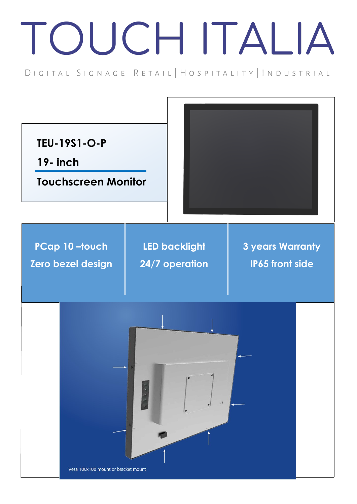## TOUCH ITALIA

DIGITAL SIGNAGE | RETAIL | HOSPITALITY | INDUSTRIAL